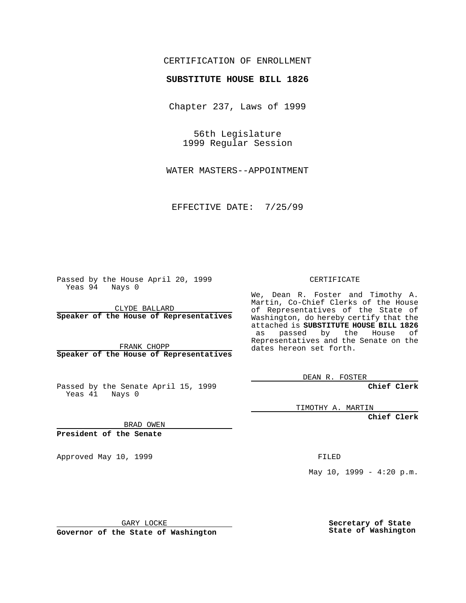#### CERTIFICATION OF ENROLLMENT

# **SUBSTITUTE HOUSE BILL 1826**

Chapter 237, Laws of 1999

56th Legislature 1999 Regular Session

WATER MASTERS--APPOINTMENT

EFFECTIVE DATE: 7/25/99

Passed by the House April 20, 1999 Yeas 94 Nays 0

CLYDE BALLARD **Speaker of the House of Representatives**

FRANK CHOPP **Speaker of the House of Representatives**

Passed by the Senate April 15, 1999 Yeas 41 Nays 0

CERTIFICATE

We, Dean R. Foster and Timothy A. Martin, Co-Chief Clerks of the House of Representatives of the State of Washington, do hereby certify that the attached is **SUBSTITUTE HOUSE BILL 1826** as passed by the House of Representatives and the Senate on the dates hereon set forth.

DEAN R. FOSTER

**Chief Clerk**

TIMOTHY A. MARTIN

**Chief Clerk**

BRAD OWEN

**President of the Senate**

Approved May 10, 1999 **FILED** 

May  $10$ ,  $1999 - 4:20$  p.m.

GARY LOCKE

**Governor of the State of Washington**

**Secretary of State State of Washington**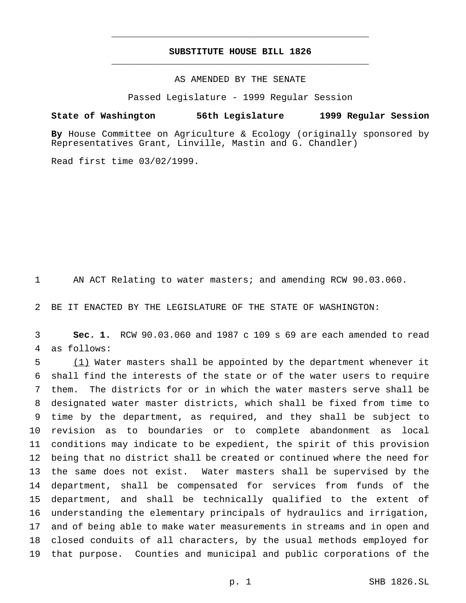## **SUBSTITUTE HOUSE BILL 1826** \_\_\_\_\_\_\_\_\_\_\_\_\_\_\_\_\_\_\_\_\_\_\_\_\_\_\_\_\_\_\_\_\_\_\_\_\_\_\_\_\_\_\_\_\_\_\_

\_\_\_\_\_\_\_\_\_\_\_\_\_\_\_\_\_\_\_\_\_\_\_\_\_\_\_\_\_\_\_\_\_\_\_\_\_\_\_\_\_\_\_\_\_\_\_

## AS AMENDED BY THE SENATE

Passed Legislature - 1999 Regular Session

#### **State of Washington 56th Legislature 1999 Regular Session**

**By** House Committee on Agriculture & Ecology (originally sponsored by Representatives Grant, Linville, Mastin and G. Chandler)

Read first time 03/02/1999.

AN ACT Relating to water masters; and amending RCW 90.03.060.

BE IT ENACTED BY THE LEGISLATURE OF THE STATE OF WASHINGTON:

 **Sec. 1.** RCW 90.03.060 and 1987 c 109 s 69 are each amended to read as follows:

 (1) Water masters shall be appointed by the department whenever it shall find the interests of the state or of the water users to require them. The districts for or in which the water masters serve shall be designated water master districts, which shall be fixed from time to time by the department, as required, and they shall be subject to revision as to boundaries or to complete abandonment as local conditions may indicate to be expedient, the spirit of this provision being that no district shall be created or continued where the need for the same does not exist. Water masters shall be supervised by the department, shall be compensated for services from funds of the department, and shall be technically qualified to the extent of understanding the elementary principals of hydraulics and irrigation, and of being able to make water measurements in streams and in open and closed conduits of all characters, by the usual methods employed for that purpose. Counties and municipal and public corporations of the